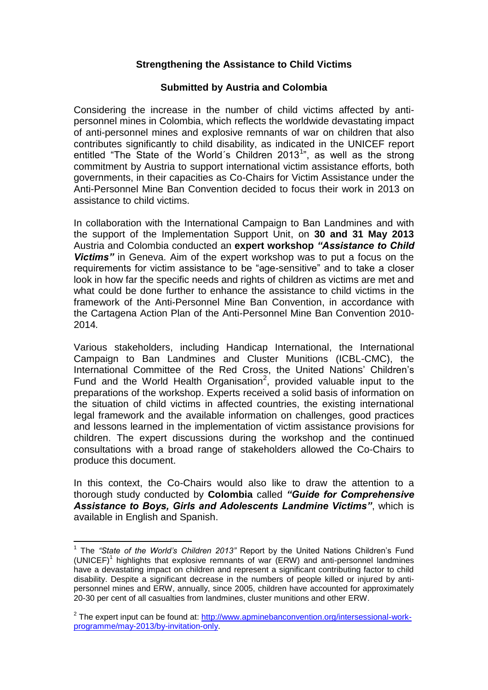## **Strengthening the Assistance to Child Victims**

### **Submitted by Austria and Colombia**

Considering the increase in the number of child victims affected by antipersonnel mines in Colombia, which reflects the worldwide devastating impact of anti-personnel mines and explosive remnants of war on children that also contributes significantly to child disability, as indicated in the UNICEF report entitled "The State of the World's Children 2013<sup>1</sup>", as well as the strong commitment by Austria to support international victim assistance efforts, both governments, in their capacities as Co-Chairs for Victim Assistance under the Anti-Personnel Mine Ban Convention decided to focus their work in 2013 on assistance to child victims.

In collaboration with the International Campaign to Ban Landmines and with the support of the Implementation Support Unit, on **30 and 31 May 2013** Austria and Colombia conducted an **expert workshop** *"Assistance to Child Victims"* in Geneva. Aim of the expert workshop was to put a focus on the requirements for victim assistance to be "age-sensitive" and to take a closer look in how far the specific needs and rights of children as victims are met and what could be done further to enhance the assistance to child victims in the framework of the Anti-Personnel Mine Ban Convention, in accordance with the Cartagena Action Plan of the Anti-Personnel Mine Ban Convention 2010- 2014*.*

Various stakeholders, including Handicap International, the International Campaign to Ban Landmines and Cluster Munitions (ICBL-CMC), the International Committee of the Red Cross, the United Nations' Children's Fund and the World Health Organisation<sup>2</sup>, provided valuable input to the preparations of the workshop. Experts received a solid basis of information on the situation of child victims in affected countries, the existing international legal framework and the available information on challenges, good practices and lessons learned in the implementation of victim assistance provisions for children. The expert discussions during the workshop and the continued consultations with a broad range of stakeholders allowed the Co-Chairs to produce this document.

In this context, the Co-Chairs would also like to draw the attention to a thorough study conducted by **Colombia** called *"Guide for Comprehensive Assistance to Boys, Girls and Adolescents Landmine Victims"*, which is available in English and Spanish.

<u>.</u>

<sup>&</sup>lt;sup>1</sup> The "State of the World's Children 2013" Report by the United Nations Children's Fund (UNICEF)<sup>1</sup> highlights that explosive remnants of war (ERW) and anti-personnel landmines have a devastating impact on children and represent a significant contributing factor to child disability. Despite a significant decrease in the numbers of people killed or injured by antipersonnel mines and ERW, annually, since 2005, children have accounted for approximately 20-30 per cent of all casualties from landmines, cluster munitions and other ERW.

<sup>&</sup>lt;sup>2</sup> The expert input can be found at: [http://www.apminebanconvention.org/intersessional-work](http://www.apminebanconvention.org/intersessional-work-programme/may-2013/by-invitation-only)[programme/may-2013/by-invitation-only.](http://www.apminebanconvention.org/intersessional-work-programme/may-2013/by-invitation-only)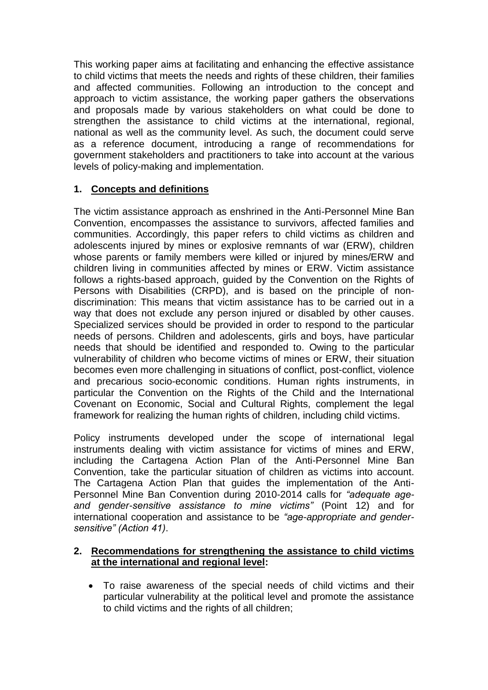This working paper aims at facilitating and enhancing the effective assistance to child victims that meets the needs and rights of these children, their families and affected communities. Following an introduction to the concept and approach to victim assistance, the working paper gathers the observations and proposals made by various stakeholders on what could be done to strengthen the assistance to child victims at the international, regional, national as well as the community level. As such, the document could serve as a reference document, introducing a range of recommendations for government stakeholders and practitioners to take into account at the various levels of policy-making and implementation.

# **1. Concepts and definitions**

The victim assistance approach as enshrined in the Anti-Personnel Mine Ban Convention, encompasses the assistance to survivors, affected families and communities. Accordingly, this paper refers to child victims as children and adolescents injured by mines or explosive remnants of war (ERW), children whose parents or family members were killed or injured by mines/ERW and children living in communities affected by mines or ERW. Victim assistance follows a rights-based approach, guided by the Convention on the Rights of Persons with Disabilities (CRPD), and is based on the principle of nondiscrimination: This means that victim assistance has to be carried out in a way that does not exclude any person injured or disabled by other causes. Specialized services should be provided in order to respond to the particular needs of persons. Children and adolescents, girls and boys, have particular needs that should be identified and responded to. Owing to the particular vulnerability of children who become victims of mines or ERW, their situation becomes even more challenging in situations of conflict, post-conflict, violence and precarious socio-economic conditions. Human rights instruments, in particular the Convention on the Rights of the Child and the International Covenant on Economic, Social and Cultural Rights, complement the legal framework for realizing the human rights of children, including child victims.

Policy instruments developed under the scope of international legal instruments dealing with victim assistance for victims of mines and ERW, including the Cartagena Action Plan of the Anti-Personnel Mine Ban Convention, take the particular situation of children as victims into account. The Cartagena Action Plan that guides the implementation of the Anti-Personnel Mine Ban Convention during 2010-2014 calls for *"adequate ageand gender-sensitive assistance to mine victims"* (Point 12) and for international cooperation and assistance to be *"age-appropriate and gendersensitive" (Action 41)*.

## **2. Recommendations for strengthening the assistance to child victims at the international and regional level:**

 To raise awareness of the special needs of child victims and their particular vulnerability at the political level and promote the assistance to child victims and the rights of all children;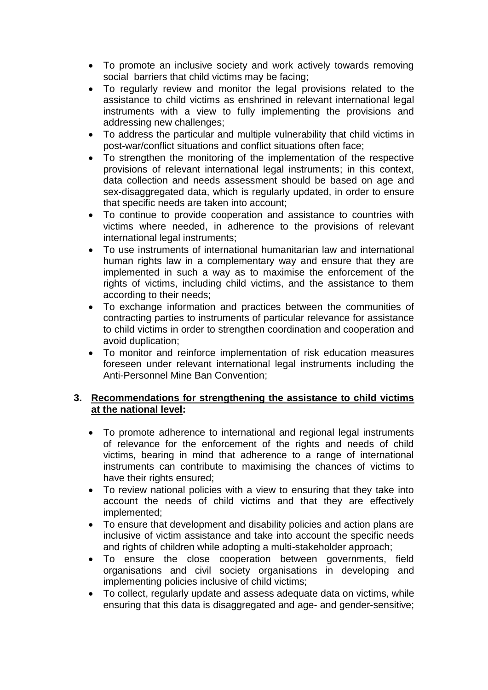- To promote an inclusive society and work actively towards removing social barriers that child victims may be facing;
- To regularly review and monitor the legal provisions related to the assistance to child victims as enshrined in relevant international legal instruments with a view to fully implementing the provisions and addressing new challenges;
- To address the particular and multiple vulnerability that child victims in post-war/conflict situations and conflict situations often face;
- To strengthen the monitoring of the implementation of the respective provisions of relevant international legal instruments; in this context, data collection and needs assessment should be based on age and sex-disaggregated data, which is regularly updated, in order to ensure that specific needs are taken into account;
- To continue to provide cooperation and assistance to countries with victims where needed, in adherence to the provisions of relevant international legal instruments:
- To use instruments of international humanitarian law and international human rights law in a complementary way and ensure that they are implemented in such a way as to maximise the enforcement of the rights of victims, including child victims, and the assistance to them according to their needs;
- To exchange information and practices between the communities of contracting parties to instruments of particular relevance for assistance to child victims in order to strengthen coordination and cooperation and avoid duplication;
- To monitor and reinforce implementation of risk education measures foreseen under relevant international legal instruments including the Anti-Personnel Mine Ban Convention;

# **3. Recommendations for strengthening the assistance to child victims at the national level:**

- To promote adherence to international and regional legal instruments of relevance for the enforcement of the rights and needs of child victims, bearing in mind that adherence to a range of international instruments can contribute to maximising the chances of victims to have their rights ensured;
- To review national policies with a view to ensuring that they take into account the needs of child victims and that they are effectively implemented;
- To ensure that development and disability policies and action plans are inclusive of victim assistance and take into account the specific needs and rights of children while adopting a multi-stakeholder approach;
- To ensure the close cooperation between governments, field organisations and civil society organisations in developing and implementing policies inclusive of child victims;
- To collect, regularly update and assess adequate data on victims, while ensuring that this data is disaggregated and age- and gender-sensitive;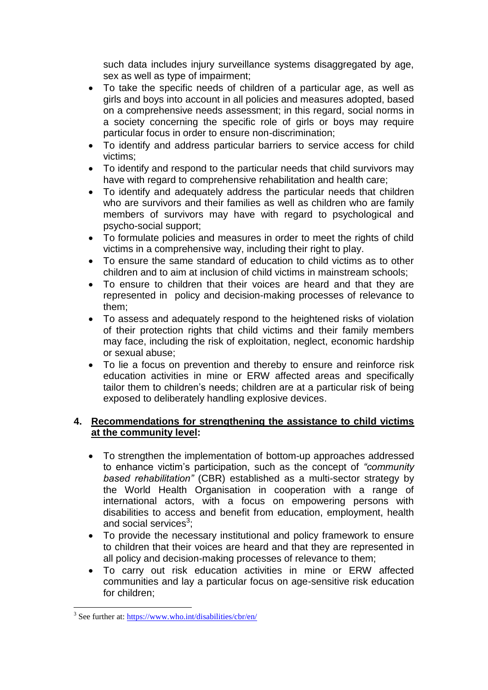such data includes injury surveillance systems disaggregated by age, sex as well as type of impairment;

- To take the specific needs of children of a particular age, as well as girls and boys into account in all policies and measures adopted, based on a comprehensive needs assessment; in this regard, social norms in a society concerning the specific role of girls or boys may require particular focus in order to ensure non-discrimination;
- To identify and address particular barriers to service access for child victims;
- To identify and respond to the particular needs that child survivors may have with regard to comprehensive rehabilitation and health care;
- To identify and adequately address the particular needs that children who are survivors and their families as well as children who are family members of survivors may have with regard to psychological and psycho-social support;
- To formulate policies and measures in order to meet the rights of child victims in a comprehensive way, including their right to play.
- To ensure the same standard of education to child victims as to other children and to aim at inclusion of child victims in mainstream schools;
- To ensure to children that their voices are heard and that they are represented in policy and decision-making processes of relevance to them;
- To assess and adequately respond to the heightened risks of violation of their protection rights that child victims and their family members may face, including the risk of exploitation, neglect, economic hardship or sexual abuse;
- To lie a focus on prevention and thereby to ensure and reinforce risk education activities in mine or ERW affected areas and specifically tailor them to children's needs; children are at a particular risk of being exposed to deliberately handling explosive devices.

## **4. Recommendations for strengthening the assistance to child victims at the community level:**

- To strengthen the implementation of bottom-up approaches addressed to enhance victim's participation, such as the concept of *"community based rehabilitation"* (CBR) established as a multi-sector strategy by the World Health Organisation in cooperation with a range of international actors, with a focus on empowering persons with disabilities to access and benefit from education, employment, health and social services $^3$ ;
- To provide the necessary institutional and policy framework to ensure to children that their voices are heard and that they are represented in all policy and decision-making processes of relevance to them;
- To carry out risk education activities in mine or ERW affected communities and lay a particular focus on age-sensitive risk education for children;

<u>.</u>

<sup>&</sup>lt;sup>3</sup> See further at:<https://www.who.int/disabilities/cbr/en/>